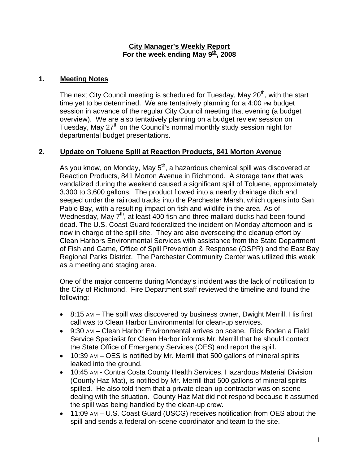#### **City Manager's Weekly Report** For the week ending May 9<sup>th</sup>, 2008

## **1. Meeting Notes**

The next City Council meeting is scheduled for Tuesday, May 20<sup>th</sup>, with the start time yet to be determined. We are tentatively planning for a 4:00 PM budget session in advance of the regular City Council meeting that evening (a budget overview). We are also tentatively planning on a budget review session on Tuesday, May 27<sup>th</sup> on the Council's normal monthly study session night for departmental budget presentations.

# **2. Update on Toluene Spill at Reaction Products, 841 Morton Avenue**

As you know, on Monday, May  $5<sup>th</sup>$ , a hazardous chemical spill was discovered at Reaction Products, 841 Morton Avenue in Richmond. A storage tank that was vandalized during the weekend caused a significant spill of Toluene, approximately 3,300 to 3,600 gallons. The product flowed into a nearby drainage ditch and seeped under the railroad tracks into the Parchester Marsh, which opens into San Pablo Bay, with a resulting impact on fish and wildlife in the area. As of Wednesday, May 7<sup>th</sup>, at least 400 fish and three mallard ducks had been found dead. The U.S. Coast Guard federalized the incident on Monday afternoon and is now in charge of the spill site. They are also overseeing the cleanup effort by Clean Harbors Environmental Services with assistance from the State Department of Fish and Game, Office of Spill Prevention & Response (OSPR) and the East Bay Regional Parks District. The Parchester Community Center was utilized this week as a meeting and staging area.

One of the major concerns during Monday's incident was the lack of notification to the City of Richmond. Fire Department staff reviewed the timeline and found the following:

- 8:15 AM The spill was discovered by business owner, Dwight Merrill. His first call was to Clean Harbor Environmental for clean-up services.
- 9:30 AM Clean Harbor Environmental arrives on scene. Rick Boden a Field Service Specialist for Clean Harbor informs Mr. Merrill that he should contact the State Office of Emergency Services (OES) and report the spill.
- 10:39 AM OES is notified by Mr. Merrill that 500 gallons of mineral spirits leaked into the ground.
- 10:45 AM Contra Costa County Health Services, Hazardous Material Division (County Haz Mat), is notified by Mr. Merrill that 500 gallons of mineral spirits spilled. He also told them that a private clean-up contractor was on scene dealing with the situation. County Haz Mat did not respond because it assumed the spill was being handled by the clean-up crew.
- 11:09 AM U.S. Coast Guard (USCG) receives notification from OES about the spill and sends a federal on-scene coordinator and team to the site.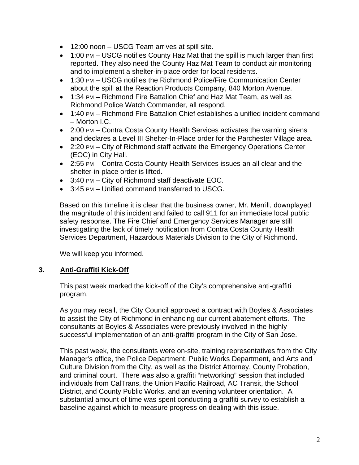- 12:00 noon USCG Team arrives at spill site.
- 1:00 PM USCG notifies County Haz Mat that the spill is much larger than first reported. They also need the County Haz Mat Team to conduct air monitoring and to implement a shelter-in-place order for local residents.
- 1:30 PM USCG notifies the Richmond Police/Fire Communication Center about the spill at the Reaction Products Company, 840 Morton Avenue.
- 1:34 PM Richmond Fire Battalion Chief and Haz Mat Team, as well as Richmond Police Watch Commander, all respond.
- 1:40 PM Richmond Fire Battalion Chief establishes a unified incident command – Morton I.C.
- 2:00 PM Contra Costa County Health Services activates the warning sirens and declares a Level III Shelter-In-Place order for the Parchester Village area.
- 2:20 PM City of Richmond staff activate the Emergency Operations Center (EOC) in City Hall.
- 2:55 PM Contra Costa County Health Services issues an all clear and the shelter-in-place order is lifted.
- 3:40 PM City of Richmond staff deactivate EOC.
- 3:45 PM Unified command transferred to USCG.

Based on this timeline it is clear that the business owner, Mr. Merrill, downplayed the magnitude of this incident and failed to call 911 for an immediate local public safety response. The Fire Chief and Emergency Services Manager are still investigating the lack of timely notification from Contra Costa County Health Services Department, Hazardous Materials Division to the City of Richmond.

We will keep you informed.

## **3. Anti-Graffiti Kick-Off**

This past week marked the kick-off of the City's comprehensive anti-graffiti program.

As you may recall, the City Council approved a contract with Boyles & Associates to assist the City of Richmond in enhancing our current abatement efforts. The consultants at Boyles & Associates were previously involved in the highly successful implementation of an anti-graffiti program in the City of San Jose.

This past week, the consultants were on-site, training representatives from the City Manager's office, the Police Department, Public Works Department, and Arts and Culture Division from the City, as well as the District Attorney, County Probation, and criminal court. There was also a graffiti "networking" session that included individuals from CalTrans, the Union Pacific Railroad, AC Transit, the School District, and County Public Works, and an evening volunteer orientation. A substantial amount of time was spent conducting a graffiti survey to establish a baseline against which to measure progress on dealing with this issue.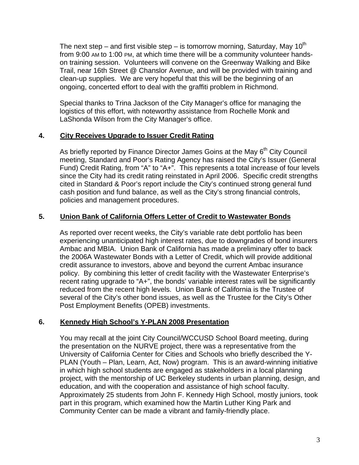The next step – and first visible step – is tomorrow morning, Saturday, May 10<sup>th</sup> from 9:00 AM to 1:00 PM, at which time there will be a community volunteer handson training session. Volunteers will convene on the Greenway Walking and Bike Trail, near 16th Street @ Chanslor Avenue, and will be provided with training and clean-up supplies. We are very hopeful that this will be the beginning of an ongoing, concerted effort to deal with the graffiti problem in Richmond.

Special thanks to Trina Jackson of the City Manager's office for managing the logistics of this effort, with noteworthy assistance from Rochelle Monk and LaShonda Wilson from the City Manager's office.

## **4. City Receives Upgrade to Issuer Credit Rating**

As briefly reported by Finance Director James Goins at the May  $6<sup>th</sup>$  City Council meeting, Standard and Poor's Rating Agency has raised the City's Issuer (General Fund) Credit Rating, from "A" to "A+". This represents a total increase of four levels since the City had its credit rating reinstated in April 2006. Specific credit strengths cited in Standard & Poor's report include the City's continued strong general fund cash position and fund balance, as well as the City's strong financial controls, policies and management procedures.

## **5. Union Bank of California Offers Letter of Credit to Wastewater Bonds**

As reported over recent weeks, the City's variable rate debt portfolio has been experiencing unanticipated high interest rates, due to downgrades of bond insurers Ambac and MBIA. Union Bank of California has made a preliminary offer to back the 2006A Wastewater Bonds with a Letter of Credit, which will provide additional credit assurance to investors, above and beyond the current Ambac insurance policy. By combining this letter of credit facility with the Wastewater Enterprise's recent rating upgrade to "A+", the bonds' variable interest rates will be significantly reduced from the recent high levels. Union Bank of California is the Trustee of several of the City's other bond issues, as well as the Trustee for the City's Other Post Employment Benefits (OPEB) investments.

# **6. Kennedy High School's Y-PLAN 2008 Presentation**

You may recall at the joint City Council/WCCUSD School Board meeting, during the presentation on the NURVE project, there was a representative from the University of California Center for Cities and Schools who briefly described the Y-PLAN (Youth – Plan, Learn, Act, Now) program. This is an award-winning initiative in which high school students are engaged as stakeholders in a local planning project, with the mentorship of UC Berkeley students in urban planning, design, and education, and with the cooperation and assistance of high school faculty. Approximately 25 students from John F. Kennedy High School, mostly juniors, took part in this program, which examined how the Martin Luther King Park and Community Center can be made a vibrant and family-friendly place.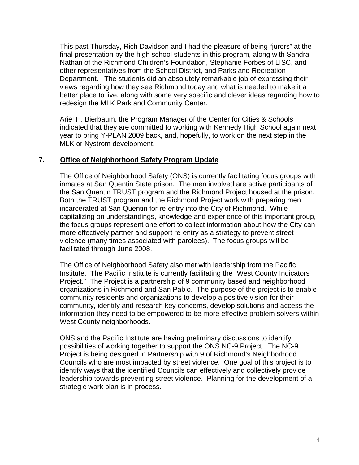This past Thursday, Rich Davidson and I had the pleasure of being "jurors" at the final presentation by the high school students in this program, along with Sandra Nathan of the Richmond Children's Foundation, Stephanie Forbes of LISC, and other representatives from the School District, and Parks and Recreation Department. The students did an absolutely remarkable job of expressing their views regarding how they see Richmond today and what is needed to make it a better place to live, along with some very specific and clever ideas regarding how to redesign the MLK Park and Community Center.

Ariel H. Bierbaum, the Program Manager of the Center for Cities & Schools indicated that they are committed to working with Kennedy High School again next year to bring Y-PLAN 2009 back, and, hopefully, to work on the next step in the MLK or Nystrom development.

### **7. Office of Neighborhood Safety Program Update**

The Office of Neighborhood Safety (ONS) is currently facilitating focus groups with inmates at San Quentin State prison. The men involved are active participants of the San Quentin TRUST program and the Richmond Project housed at the prison. Both the TRUST program and the Richmond Project work with preparing men incarcerated at San Quentin for re-entry into the City of Richmond. While capitalizing on understandings, knowledge and experience of this important group, the focus groups represent one effort to collect information about how the City can more effectively partner and support re-entry as a strategy to prevent street violence (many times associated with parolees). The focus groups will be facilitated through June 2008.

The Office of Neighborhood Safety also met with leadership from the Pacific Institute. The Pacific Institute is currently facilitating the "West County Indicators Project." The Project is a partnership of 9 community based and neighborhood organizations in Richmond and San Pablo. The purpose of the project is to enable community residents and organizations to develop a positive vision for their community, identify and research key concerns, develop solutions and access the information they need to be empowered to be more effective problem solvers within West County neighborhoods.

ONS and the Pacific Institute are having preliminary discussions to identify possibilities of working together to support the ONS NC-9 Project. The NC-9 Project is being designed in Partnership with 9 of Richmond's Neighborhood Councils who are most impacted by street violence. One goal of this project is to identify ways that the identified Councils can effectively and collectively provide leadership towards preventing street violence. Planning for the development of a strategic work plan is in process.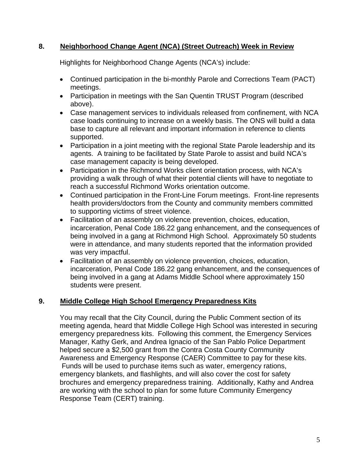## **8. Neighborhood Change Agent (NCA) (Street Outreach) Week in Review**

Highlights for Neighborhood Change Agents (NCA's) include:

- Continued participation in the bi-monthly Parole and Corrections Team (PACT) meetings.
- Participation in meetings with the San Quentin TRUST Program (described above).
- Case management services to individuals released from confinement, with NCA case loads continuing to increase on a weekly basis. The ONS will build a data base to capture all relevant and important information in reference to clients supported.
- Participation in a joint meeting with the regional State Parole leadership and its agents. A training to be facilitated by State Parole to assist and build NCA's case management capacity is being developed.
- Participation in the Richmond Works client orientation process, with NCA's providing a walk through of what their potential clients will have to negotiate to reach a successful Richmond Works orientation outcome.
- Continued participation in the Front-Line Forum meetings. Front-line represents health providers/doctors from the County and community members committed to supporting victims of street violence.
- Facilitation of an assembly on violence prevention, choices, education, incarceration, Penal Code 186.22 gang enhancement, and the consequences of being involved in a gang at Richmond High School. Approximately 50 students were in attendance, and many students reported that the information provided was very impactful.
- Facilitation of an assembly on violence prevention, choices, education, incarceration, Penal Code 186.22 gang enhancement, and the consequences of being involved in a gang at Adams Middle School where approximately 150 students were present.

## **9. Middle College High School Emergency Preparedness Kits**

You may recall that the City Council, during the Public Comment section of its meeting agenda, heard that Middle College High School was interested in securing emergency preparedness kits. Following this comment, the Emergency Services Manager, Kathy Gerk, and Andrea Ignacio of the San Pablo Police Department helped secure a \$2,500 grant from the Contra Costa County Community Awareness and Emergency Response (CAER) Committee to pay for these kits. Funds will be used to purchase items such as water, emergency rations, emergency blankets, and flashlights, and will also cover the cost for safety brochures and emergency preparedness training. Additionally, Kathy and Andrea are working with the school to plan for some future Community Emergency Response Team (CERT) training.